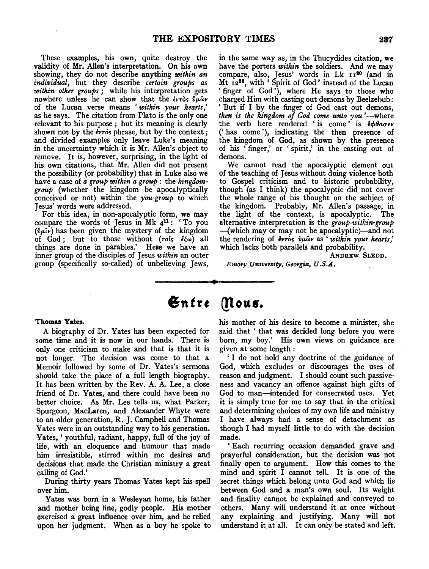These examples, his own, quite destroy the validity of Mr. Allen's interpretation. On his own showing, they do not describe anything *within an individual,* but they describe *certain groups as within other groups* ; while his interpretation gets nowhere unless he can show that the έντος *ύμων* of the Lucan verse means ' *within your hearts,'*  as he says. The citation from Plato is the only one relevant to his purpose ; but its meaning is clearly shown not by the *évros* phrase, but by the context; and divided examples only leave Luke's meaning in the uncertainty which it is Mr. Allen's object to remove. It is, however, surprising, in the light of his own citations, that Mr. Allen did not present the possibility (or probability) that in Luke also we have a case of *a group within a group:* the *kingdomgroup* (whether the kingdom be apocalyptically conceived or not) within the *you-group* to which Jesus' words were addressed.

For this idea, in non-apocalyptic form, we may compare the words of Jesus in Mk  $4<sup>11</sup>$ : 'To you  $({\hat{y}}\mu\hat{i}\nu)$  has been given the mystery of the kingdom of God; but to those without (rols  $\xi_{\omega}$ ) all things are done in parables.' Here we have an inner group of the disciples of Jesus *within* an outer group (specifically so-called) of unbelieving Jews, in the same way as, in the Thucydides citation, we have the porters *within* the soldiers. And we may compare, also, Jesus' words in Lk 1120 (and in Mt 12<sup>28</sup>, with 'Spirit of God' instead of the Lucan ' finger of God'), where He says to those who charged Him with casting out demons by Beelzebub: 'But if I by the finger of God cast out demons, *then is the kingdom of God come unto you* '-where the verb here rendered ' is come<sup>,'</sup> is  $\frac{1}{6}$ *θασεν* ('has come'), indicating the then presence of the kingdom of God, as shown by the presence of his ' finger,' or ' spirit,' in the casting out of demons.

We cannot read the apocalyptic element out of the teaching of Jesus without doing violence both to Gospel criticism and to historic probability, though (as I think) the apocalyptic did not cover the whole range of his thought on the subject of the kingdom. Probably, Mr. Allen's passage, in the light of the context, is apocalyptic. The alternative interpretation is the *group-within-group*  -{which may or may not be apocalyptic)-and not the rendering of ivroc; *{Jµwv* as ' *within your hearts,'*  which lacks both parallels and probability.

ANDREW SLEDD.

*Emory University, Georgia, U.S.A.* 

### **Thomas Yates.**

A biography of Dr. Yates has been expected for some time and it is now in our hands. There is only one criticism to make and that is that it is not longer. The decision was come to that a Memoir followed by some of Dr. Yates's sermons should take the place of a full length biography. It has been written by the Rev. A. A. Lee, a close friend of Dr. Yates, and there could have been no better choice. As Mr. Lee tells us, what Parker, Spurgeon, MacLaren, and Alexander Whyte were to an older generation, R. J. Campbell and Thomas Yates were in an outstanding way to his generation. Yates, 'youthful, radiant, happy, full of the joy of life, with an eloquence and humour that made him irresistible, stirred within me desires and decisions that made the Christian ministry a great calling of God.'

During thirty years Thomas Yates kept his spell over him.

Yates was born in a Wesleyan home, his father and mother being fine, godly people. His mother exercised a great influence over him, and he relied upon her judgment. When as a boy he spoke to

# $\mathbf{\mathfrak{En} tre}$  (Nous.

~~--~---... --~~~~-

his mother of his desire to become a minister, she said that ' that was decided long before you were born, my boy.' His own views on guidance are given at some length :

' I do not hold any doctrine of the guidance of God, which excludes or discourages the uses of reason and judgment. I should count such passiveness and vacancy an offence against high gifts of God to man-intended for consecrated uses. Yet it is simply true for me to say that in the critical and determining choices of my own life and ministry I have always had a sense of detachment as though I had myself little to do with the decision made.

'Each recurring occasion demanded grave and prayerful consideration, but the decision was not finally open to argument. How this comes to the mind and spirit I cannot tell. It is one of the secret things which belong unto God and which lie between God and a man's own soul. Its weight and finality cannot be explained and conveyed to others. Many will understand it at once without any explaining and justifying. Many will not understand it at all. It can only be stated and left.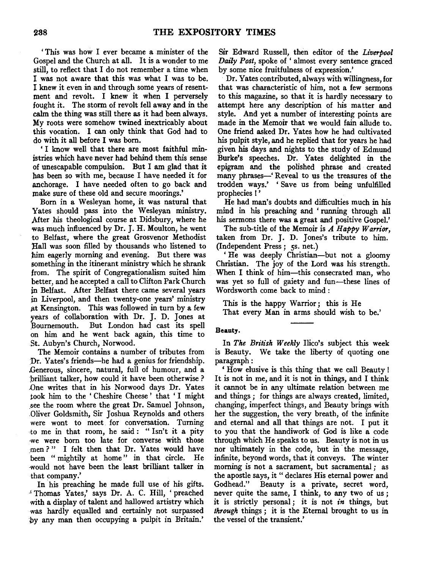' This was how I ever became a minister of the Gospel and the Church at all. It is a wonder to me still, to reflect that I do not remember a time when I was not aware that this was what I was to be. I knew it even in and through some years of resentment and revolt. I knew it when I perversely fought it. The storm of revolt fell away and in the calm the thing was still there as it had been always. My roots were somehow twined inextricably about this vocation. I can only think that God had to do with it all before I was born.

' I know well that there are most faithful ministries which have never had behind them this sense of unescapable compulsion. But I am glad that it has been so with me, because I have needed it for anchorage. I have needed often to go back and make sure of these old and secure moorings.'

Born in a Wesleyan home, it was natural that Yates should pass into the Wesleyan ministry. After his theological course at Didsbury, where he was much influenced by Dr. J. H. Moulton, he went to Belfast, where the great Grosvenor Methodist Rall was soon filled by thousands who listened to him eagerly morning and evening. But there was something in the itinerant ministry which he shrank from. The spirit of Congregationalism suited him better, and he accepted a call to Clifton Park Church in Belfast. After Belfast there came several years in Liverpool, and then twenty-one years' ministry at Kensington. This was followed in tum by a few years of collaboration with Dr. J. D. Jones at ;Bournemouth. But London had cast its spell on him and he went back again, this time to St. Aubyn's Church, Norwood.

The Memoir contains a number of tributes from Dr. Yates's friends—he had a genius for friendship. .Generous, sincere, natural, full of humour, and a :brilliant talker, how could it have been otherwise? .One writes that in his Norwood days Dr. Yates took him to the ' Cheshire Cheese ' that ' I might see the room where the great Dr. Samuel Johnson, Oliver Goldsmith, Sir Joshua Reynolds and others were wont to meet for conversation. Turning ·to me in that room, he said : " Isn't it a pity ·we were born too late for converse with those men?" I felt then that Dr. Yates would have been " mightily at home " in that circle. He -would not have been the least brilliant talker in that company.'

In his preaching he made full use of his gifts. .1 Thomas Yates,' says Dr. A. C. Hill, 'preached with a display of talent and hallowed artistry which was hardly equalled and certainly not surpassed by any man then occupying a pulpit in Britain.' Sir Edward Russell, then editor of the *Liverpool Daily Post,* spoke of ' almost every sentence graced by some nice fruitfulness of expression.'

Dr. Yates contributed, always with willingness, for that was characteristic of him, not a few sermons to this magazine, so that it is hardly necessary to attempt here any description of his matter and style. And yet a number of interesting points are made in the Memoir that we would fain allude to. One friend asked Dr. Yates how he had cultivated his pulpit style, and he replied that for years he had given his days and nights to the study of Edmund Burke's speeches. Dr. Yates delighted in the epigram and the polished phrase and created many phrases-' Reveal to us the treasures of the trodden ways.' ' Save us from being unfulfilled prophecies I '

He had man's doubts and difficulties much in his mind in his preaching and ' running through all his sermons there was a great and positive Gospel.'

The sub-title of the Memoir is *A Happy Warrior,*  taken from Dr. J. D. Jones's tribute to him. (Independent Press; 5s. net.)

He was deeply Christian-but not a gloomy Christian. The joy of the Lord was his strength. When I think of him-this consecrated man, who was yet so full of gaiety and fun-these lines of Wordsworth come back to mind :

This is the happy Warrior ; this is He That every Man in arms should wish to be.'

## Beauty.

In *The British Weekly* Ilico's subject this week is Beauty. We take the liberty of quoting one paragraph:

' How elusive is this thing that we call Beauty ! It is not in me, and it is not in things, and I think it cannot be in any ultimate relation between me and things; for things are always created, limited, changing, imperfect things, and Beauty brings with her the suggestion, the very breath, of the infinite and eternal and all that things are not. I put it to you that the handiwork of God is like a code through which He speaks to us. Beauty is not in us nor ultimately in the code, but in the message, infinite, beyond words, that it conveys. The winter morning is not a sacrament, but sacramental ; as the apostle says, it "declares His eternal power and Godhead." Beauty is a private, secret word, never quite the same, I think, to any two of us ; it is strictly personal; it is not *in* things, but *through* things ; it is the Eternal brought to us in the vessel of the transient.'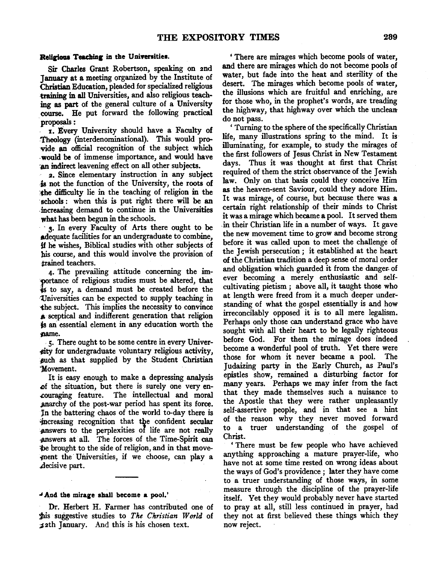### **Religious Teaching in the Universities.**

Sir Charles Grant Robertson, speaking on 2nd January at a meeting organized by the Institute of Christian Education, pleaded for specialized religious training in all Universities, and also religious teaching as part of the general culture of a University course. He put forward the following practical proposals:

. 1. Every University should have a Faculty of Theology (interdenominational). This would provide an official recognition of the subject which -would be of immense importance, and would have ·an indirect leavening effect on all other subjects.

2. Since elementary instruction in any subject ·is not the function of the University, the roots of :the difficulty lie in the teaching of religion in the schools: when this is put right there will be an .increasing demand to continue in the Universities what has been begun in the schools.

· 3. In every Faculty of Arts there ought to be adequate facilities for an undergraduate to combine, if he wishes, Biblical studies with other subjects of bis course, and this would involve the provision of trained teachers.

4. The prevailing attitude concerning the importance of religious studies must be altered, that is to say, a demand must be created before the 'Universities can be expected to supply teaching in the subject. This implies the necessity to convince **A** sceptical and indifferent generation that religion js an essential element in any education worth the pame.

*5.* There ought to be some centre in every Univer- ~ty for undergraduate voluntary religious activity, such as that supplied by the Student Christian Movement.

It is easy enough to make a depressing analysis of the situation, but there is surely one very encouraging feature. The intellectual and moral .anarchy of the post-war period has spent its force. In the battering chaos of the world to-day there is increasing recognition that the confident secular answers to the perplexities of life are not really ,answers at all. The forces of the Time-Spirit can be brought to the side of religion, and in that movement the Universities, if we choose, can play a .decisive part.

## " A.ad the mirare shall become **a** pool.'

Dr. Herbert H. Farmer has contributed one of ~s suggestive studies to *The Christian World* of ;12th January. And this is his chosen text.

'There are mirages whieh become pools of water, and there are mirages which do not become pools of water, but fade into the heat and sterility of the desert. The mirages which become pools of water, the illusions which are fruitful and enriching, are for those who, in the prophet's words, are treading the highway, that highway over which the uncleando not pass.

' Turning to the sphere of the specifically Christian life, many illustrations spring to the mind. It is illuminating, for example, to study the mirages of the first followers of Jesus Christ in New Testament days. Thus it was thought at first that Christ required of them the strict observance of the Jewish law. Only on that basis could they conceive Him as the heaven-sent Saviour, could they adore Him. It was mirage, of course, but because there was a certain right relationship of their minds to Christ it was a mirage which became a pool. It served them .in their Christian life in a number of ways. It gave the new movement time to grow and become strong before it was called upon to meet the challenge of the Jewish persecution ; it established at the heart of the Christian tradition a deep sense of moral order and obligation which guarded it from the danger. of ever becoming a merely enthusiastic and selfcultivating pietism ; above all, it taught those who at length were freed from it a much deeper understanding of what the gospel essentially is and how irreconcilably opposed it is to all mere legalism. Perhaps only those can understand grace who have sought with all their heart to be legally righteous before God. For them the mirage does indeed become a wonderful pool of truth. Yet there were those for whom it never became a pool. The Judaizing party in the Early Church, as Paul's epistles show, remained a disturbing factor for many years. Perhaps we may infer from the fact that they made themselves such a nuisance to the Apostle that they were rather unpleasantly self-assertive people, and in that see a hint of the reason why they never moved forward to a truer understanding of the gospel of Christ.

'There must be few people who have achieved anything approaching a mature prayer-life, who have not at some time rested on wrong ideas about the ways of God's providence; later they have come to a truer understanding of those ways, in some measure through the discipline of the prayer-life itself. Yet they would probably never have started to pray at all, still less continued in prayer, had they not at first believed these things which they now reject.